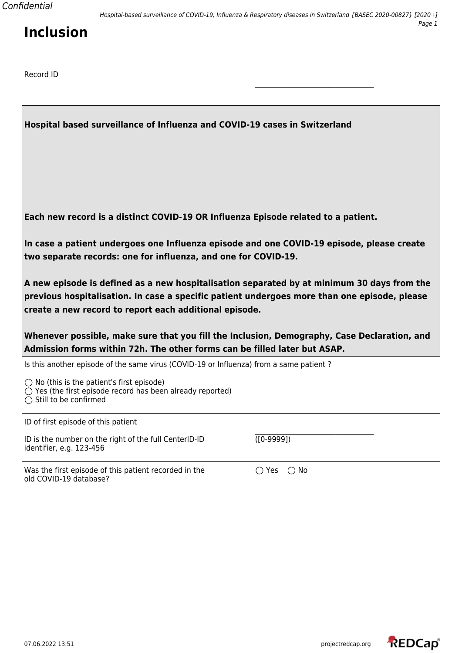### **Hospital based surveillance of Influenza and COVID-19 cases in Switzerland**

**Each new record is a distinct COVID-19 OR Influenza Episode related to a patient.**

**In case a patient undergoes one Influenza episode and one COVID-19 episode, please create two separate records: one for influenza, and one for COVID-19.**

\_\_\_\_\_\_\_\_\_\_\_\_\_\_\_\_\_\_\_\_\_\_\_\_\_\_\_\_\_\_\_\_\_\_

**A new episode is defined as a new hospitalisation separated by at minimum 30 days from the previous hospitalisation. In case a specific patient undergoes more than one episode, please create a new record to report each additional episode.**

**Whenever possible, make sure that you fill the Inclusion, Demography, Case Declaration, and Admission forms within 72h. The other forms can be filled later but ASAP.**

Is this another episode of the same virus (COVID-19 or Influenza) from a same patient ?

 $\bigcirc$  No (this is the patient's first episode)  $\bigcirc$  Yes (the first episode record has been already reported)  $\bigcirc$  Still to be confirmed

| ID of first episode of this patient                                               |                                 |
|-----------------------------------------------------------------------------------|---------------------------------|
| ID is the number on the right of the full CenterID-ID<br>identifier, e.g. 123-456 | (0.9999)                        |
| Was the first episode of this patient recorded in the                             | $\bigcirc$ Yes<br>$\bigcirc$ No |

old COVID-19 database?

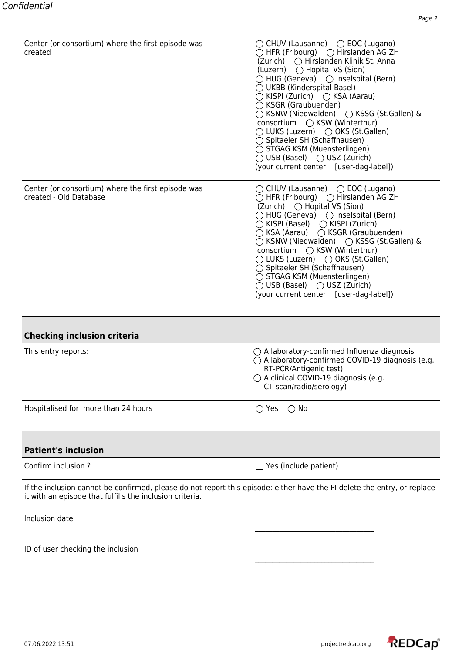| Center (or consortium) where the first episode was<br>created                | $\bigcirc$ CHUV (Lausanne) $\bigcirc$ EOC (Lugano)<br>$\bigcirc$ HFR (Fribourg) $\bigcirc$ Hirslanden AG ZH<br>(Zurich) ○ Hirslanden Klinik St. Anna<br>(Luzern) ◯ Hopital VS (Sion)<br>$\bigcirc$ HUG (Geneva) $\bigcirc$ Inselspital (Bern)<br>$\bigcirc$ UKBB (Kinderspital Basel)<br>$\bigcirc$ KISPI (Zurich) $\bigcirc$ KSA (Aarau)<br>◯ KSGR (Graubuenden)<br>◯ KSNW (Niedwalden) ◯ KSSG (St.Gallen) &<br>consortium ○ KSW (Winterthur)<br>○ LUKS (Luzern) ○ OKS (St.Gallen)<br>◯ Spitaeler SH (Schaffhausen)<br>◯ STGAG KSM (Muensterlingen)<br>$\bigcirc$ USB (Basel) $\bigcirc$ USZ (Zurich)<br>(your current center: [user-dag-label]) |
|------------------------------------------------------------------------------|---------------------------------------------------------------------------------------------------------------------------------------------------------------------------------------------------------------------------------------------------------------------------------------------------------------------------------------------------------------------------------------------------------------------------------------------------------------------------------------------------------------------------------------------------------------------------------------------------------------------------------------------------|
| Center (or consortium) where the first episode was<br>created - Old Database | $\bigcirc$ CHUV (Lausanne) $\bigcirc$ EOC (Lugano)<br>○ HFR (Fribourg) ○ Hirslanden AG ZH<br>(Zurich) ○ Hopital VS (Sion)<br>$\bigcirc$ HUG (Geneva) $\bigcirc$ Inselspital (Bern)<br>◯ KISPI (Basel) ◯ KISPI (Zurich)<br>○ KSA (Aarau) ○ KSGR (Graubuenden)<br>○ KSNW (Niedwalden) ○ KSSG (St.Gallen) &<br>consortium ◯ KSW (Winterthur)<br>◯ LUKS (Luzern) ◯ OKS (St.Gallen)<br>◯ Spitaeler SH (Schaffhausen)<br>◯ STGAG KSM (Muensterlingen)<br>$\bigcirc$ USB (Basel) $\bigcirc$ USZ (Zurich)<br>(your current center: [user-dag-label])                                                                                                      |
| <b>Checking inclusion criteria</b>                                           |                                                                                                                                                                                                                                                                                                                                                                                                                                                                                                                                                                                                                                                   |
| This entry reports:                                                          | $\bigcirc$ A laboratory-confirmed Influenza diagnosis<br>$\bigcirc$ A laboratory-confirmed COVID-19 diagnosis (e.g.<br>RT-PCR/Antigenic test)<br>$\bigcirc$ A clinical COVID-19 diagnosis (e.g.<br>CT-scan/radio/serology)                                                                                                                                                                                                                                                                                                                                                                                                                        |
| Hospitalised for more than 24 hours                                          | $\bigcirc$ No<br>() Yes                                                                                                                                                                                                                                                                                                                                                                                                                                                                                                                                                                                                                           |
| <b>Patient's inclusion</b>                                                   |                                                                                                                                                                                                                                                                                                                                                                                                                                                                                                                                                                                                                                                   |
| Confirm inclusion ?                                                          | $\Box$ Yes (include patient)                                                                                                                                                                                                                                                                                                                                                                                                                                                                                                                                                                                                                      |
| it with an episode that fulfills the inclusion criteria.                     | If the inclusion cannot be confirmed, please do not report this episode: either have the PI delete the entry, or replace                                                                                                                                                                                                                                                                                                                                                                                                                                                                                                                          |
| Inclusion date                                                               |                                                                                                                                                                                                                                                                                                                                                                                                                                                                                                                                                                                                                                                   |
| ID of user checking the inclusion                                            |                                                                                                                                                                                                                                                                                                                                                                                                                                                                                                                                                                                                                                                   |

\_\_\_\_\_\_\_\_\_\_\_\_\_\_\_\_\_\_\_\_\_\_\_\_\_\_\_\_\_\_\_\_\_\_

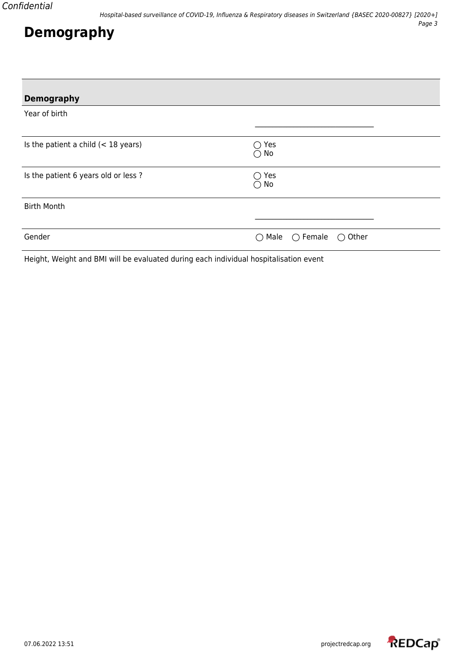# **Demography**

| <b>Demography</b>                                                                     |                                                          |
|---------------------------------------------------------------------------------------|----------------------------------------------------------|
| Year of birth                                                                         |                                                          |
| Is the patient a child $(< 18$ years)                                                 | Yes<br>()<br>$\bigcirc$ No                               |
| Is the patient 6 years old or less ?                                                  | Yes<br>$\rightarrow$<br>No<br>$( \ )$                    |
| <b>Birth Month</b>                                                                    |                                                          |
| Gender                                                                                | $\bigcirc$ Male<br>$\bigcirc$ Female<br>$\bigcirc$ Other |
| Height, Weight and BMI will be evaluated during each individual hospitalisation event |                                                          |

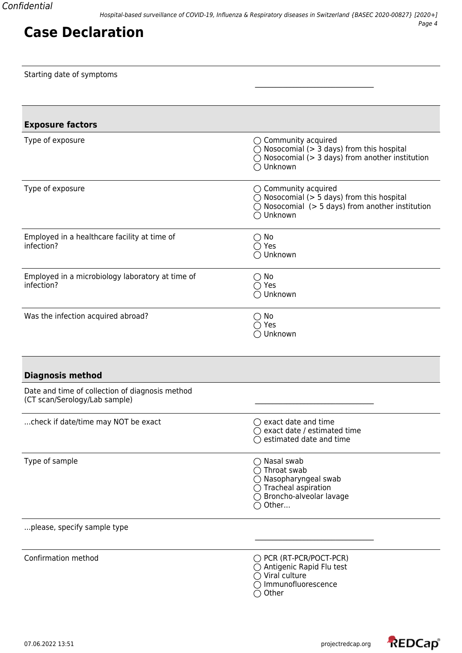|  | Starting date of symptoms |  |  |  |  |
|--|---------------------------|--|--|--|--|
|--|---------------------------|--|--|--|--|

| <b>Exposure factors</b>                                                          |                                                                                                                                                                      |
|----------------------------------------------------------------------------------|----------------------------------------------------------------------------------------------------------------------------------------------------------------------|
| Type of exposure                                                                 | $\bigcirc$ Community acquired<br>$\bigcirc$ Nosocomial (> 3 days) from this hospital<br>$\bigcirc$ Nosocomial (> 3 days) from another institution<br>◯ Unknown       |
| Type of exposure                                                                 | $\bigcirc$ Community acquired<br>$\bigcirc$ Nosocomial (> 5 days) from this hospital<br>$\bigcirc$ Nosocomial (> 5 days) from another institution<br>◯ Unknown       |
| Employed in a healthcare facility at time of<br>infection?                       | $\bigcirc$ No<br>$\bigcirc$ Yes<br>◯ Unknown                                                                                                                         |
| Employed in a microbiology laboratory at time of<br>infection?                   | $\bigcirc$ No<br>$\bigcirc$ Yes<br>◯ Unknown                                                                                                                         |
| Was the infection acquired abroad?                                               | $\bigcirc$ No<br>$\bigcap$ Yes<br>◯ Unknown                                                                                                                          |
| <b>Diagnosis method</b>                                                          |                                                                                                                                                                      |
| Date and time of collection of diagnosis method<br>(CT scan/Serology/Lab sample) |                                                                                                                                                                      |
| check if date/time may NOT be exact                                              | $\bigcirc$ exact date and time<br>$\bigcirc$ exact date / estimated time<br>estimated date and time                                                                  |
| Type of sample                                                                   | $\bigcirc$ Nasal swab<br>$\bigcirc$ Throat swab<br>$\bigcirc$ Nasopharyngeal swab<br>$\bigcirc$ Tracheal aspiration<br>◯ Broncho-alveolar lavage<br>$\bigcirc$ Other |
| please, specify sample type                                                      |                                                                                                                                                                      |
| Confirmation method                                                              | O PCR (RT-PCR/POCT-PCR)<br>$\bigcirc$ Antigenic Rapid Flu test<br>$\bigcirc$ Viral culture<br>○ Immunofluorescence<br>$\bigcirc$ Other                               |

\_\_\_\_\_\_\_\_\_\_\_\_\_\_\_\_\_\_\_\_\_\_\_\_\_\_\_\_\_\_\_\_\_\_

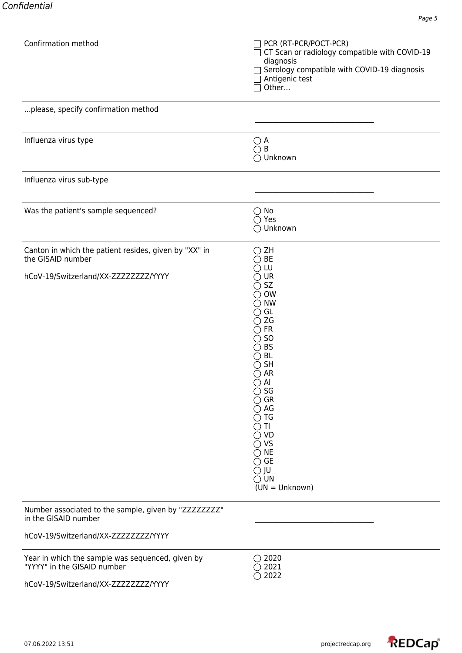| Confirmation method                                                                                                      | PCR (RT-PCR/POCT-PCR)<br>CT Scan or radiology compatible with COVID-19<br>diagnosis<br>Serology compatible with COVID-19 diagnosis<br>Antigenic test<br>Other                                                                                                                                                                                                                                                                              |
|--------------------------------------------------------------------------------------------------------------------------|--------------------------------------------------------------------------------------------------------------------------------------------------------------------------------------------------------------------------------------------------------------------------------------------------------------------------------------------------------------------------------------------------------------------------------------------|
| please, specify confirmation method                                                                                      |                                                                                                                                                                                                                                                                                                                                                                                                                                            |
| Influenza virus type                                                                                                     | $\bigcirc$ A<br>$\bigcirc$ B<br>◯ Unknown                                                                                                                                                                                                                                                                                                                                                                                                  |
| Influenza virus sub-type                                                                                                 |                                                                                                                                                                                                                                                                                                                                                                                                                                            |
| Was the patient's sample sequenced?                                                                                      | $\bigcirc$ No<br>$\bigcirc$ Yes<br>O Unknown                                                                                                                                                                                                                                                                                                                                                                                               |
| Canton in which the patient resides, given by "XX" in<br>the GISAID number                                               | $\bigcirc$ ZH<br>$\bigcirc$ Be                                                                                                                                                                                                                                                                                                                                                                                                             |
| hCoV-19/Switzerland/XX-ZZZZZZZZZ/YYYY                                                                                    | LU<br>$\bigcirc$ ur<br>$\bigcirc$ SZ<br>$\bigcirc$ ow<br>$\bigcirc$ NW<br>$\bigcirc$ GL<br>$\bigcirc$ ZG<br>$\bigcirc$ FR<br>$\bigcirc$ so<br>$\bigcirc$ BS<br>$\bigcirc$ BL<br>$\bigcirc$ SH<br>$\bigcirc$ AR<br>$\bigcirc$ Al<br>$\bigcirc$ SG<br>$\bigcirc$ GR<br>$\bigcirc$ AG<br>$\bigcirc$ tg<br>$\cap$ TI<br>$\bigcirc$ vd<br>$\bigcirc$ vs<br>$\bigcirc$ NE<br>$\bigcirc$ GE<br>$\bigcirc$ JU<br>$\bigcirc$ UN<br>$(UN = Unknown)$ |
| Number associated to the sample, given by "ZZZZZZZZ"<br>in the GISAID number                                             |                                                                                                                                                                                                                                                                                                                                                                                                                                            |
| hCoV-19/Switzerland/XX-ZZZZZZZZZ/YYYY                                                                                    |                                                                                                                                                                                                                                                                                                                                                                                                                                            |
| Year in which the sample was sequenced, given by<br>"YYYY" in the GISAID number<br>hCoV-19/Switzerland/XX-ZZZZZZZZZ/YYYY | $\bigcirc$ 2020<br>$\bigcirc$ 2021<br>$\bigcirc$ 2022                                                                                                                                                                                                                                                                                                                                                                                      |

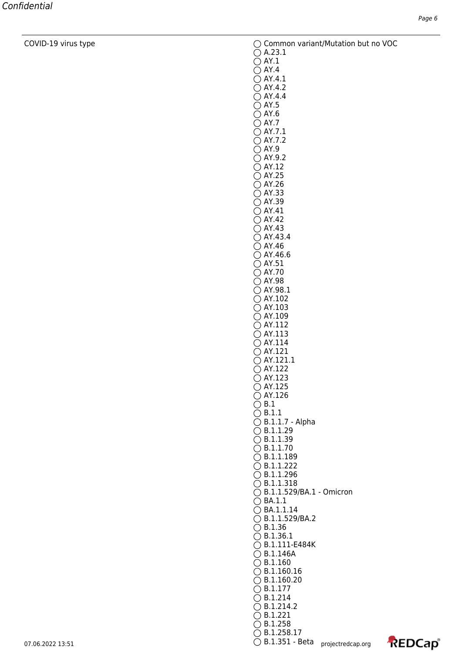COVID-19 virus type Common variant/Mutation but no VOC

 $\bigcirc$  A.23.1

- $\bigcirc$  AY.1  $\bigcirc$  AY.4
- $\bigcirc$  AY.4.1
- $\bigcirc$  AY.4.2
- $\bigcirc$  AY.4.4
- $\bigcirc$  AY.5  $\bigcirc$  AY.6
- $\bigcirc$  AY.7
- $\bigcirc$  AY.7.1
- $\bigcirc$  AY.7.2  $\bigcirc$  AY.9
- $\bigcirc$  AY.9.2  $\bigcirc$  AY.12
- $\bigcirc$  AY.25  $\bigcirc$  AY.26
- $\bigcirc$  AY.33
- AY.39
- $\bigcirc$  AY.41  $\bigcirc$  AY.42
- $\bigcirc$  AY.43  $\bigcirc$  AY.43.4
- $\bigcirc$  AY.46  $\bigcirc$  AY.46.6  $\bigcirc$  AY.51
- $\bigcirc$  AY.70
- AY.98 AY.98.1
- $\bigcirc$  AY.102  $\bigcirc$  AY.103
- $\bigcirc$  AY.109
- $\bigcirc$  AY.112
- $\bigcirc$  AY.113  $\bigcirc$  AY.114
- $\bigcirc$  AY.121
- $\bigcap$  AY.121.1  $\bigcirc$  AY.122
- $\bigcirc$  AY.123
- AY.125
- $\bigcirc$  AY.126
- $\bigcirc$  B.1
- 
- $\bigcirc$  B.1.1  $\bigcirc$  B.1.1.7 - Alpha
- $\bigcirc$  B.1.1.29
- $\bigcirc$  B.1.1.39  $\bigcirc$  B.1.1.70
- $\bigcirc$  B.1.1.189
- $\bigcirc$  B.1.1.222
- $\bigcirc$  B.1.1.296
- $\bigcirc$  B.1.1.318 B.1.1.529/BA.1 - Omicron
- $\bigcirc$  BA.1.1
- $\bigcirc$  BA.1.1.14
- B.1.1.529/BA.2
- $\bigcirc$  B.1.36  $\bigcirc$  B.1.36.1
- B.1.111-E484K
- $\bigcirc$  B.1.146A
- $\bigcirc$  B.1.160
- $\bigcirc$  B.1.160.16
- $\bigcirc$  B.1.160.20
- B.1.177

 $\bigcirc$  B.1.258

- $\bigcirc$  B.1.214  $\bigcirc$  B.1.214.2  $\bigcirc$  B.1.221
- 07.06.2022 13:51  $\bigcirc$  B.1.351 Beta  $\bigcirc$  projectredcap.org  $\bigcirc$  B.1.258.17

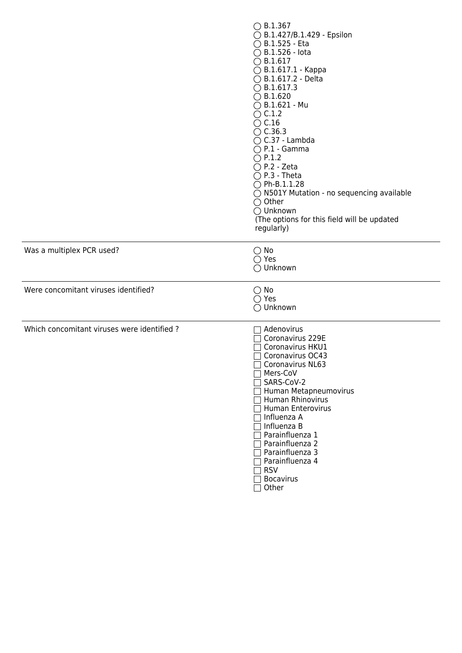|                                            | $\bigcirc$ B.1.367<br>◯ B.1.427/B.1.429 - Epsilon<br>$\bigcirc$ B.1.525 - Eta<br>$\bigcirc$ B.1.526 - lota<br>$\bigcirc$ B.1.617<br>$\bigcirc$ B.1.617.1 - Kappa<br>◯ B.1.617.2 - Delta<br>$\bigcirc$ B.1.617.3<br>$\bigcirc$ B.1.620<br>$\bigcirc$ B.1.621 - Mu<br>$\bigcirc$ C.1.2<br>$\bigcirc$ C.16<br>$\bigcirc$ C.36.3<br>$\bigcirc$ C.37 - Lambda<br>$\bigcirc$ P.1 - Gamma<br>$\bigcirc$ P.1.2<br>$\bigcirc$ P.2 - Zeta<br>$\bigcirc$ P.3 - Theta<br>$\bigcirc$ Ph-B.1.1.28<br>$\bigcirc$ N501Y Mutation - no sequencing available<br>$\bigcirc$ Other<br>◯ Unknown<br>(The options for this field will be updated<br>regularly) |
|--------------------------------------------|------------------------------------------------------------------------------------------------------------------------------------------------------------------------------------------------------------------------------------------------------------------------------------------------------------------------------------------------------------------------------------------------------------------------------------------------------------------------------------------------------------------------------------------------------------------------------------------------------------------------------------------|
| Was a multiplex PCR used?                  | $\bigcirc$ No<br>$\bigcirc$ Yes<br>◯ Unknown                                                                                                                                                                                                                                                                                                                                                                                                                                                                                                                                                                                             |
| Were concomitant viruses identified?       | $\bigcirc$ No<br>$\bigcirc$ Yes<br>◯ Unknown                                                                                                                                                                                                                                                                                                                                                                                                                                                                                                                                                                                             |
| Which concomitant viruses were identified? | Adenovirus<br>Coronavirus 229E<br>Coronavirus HKU1<br>Coronavirus OC43<br>Coronavirus NL63<br>Mers-CoV<br>SARS-CoV-2<br>□ Human Metapneumovirus<br>□ Human Rhinovirus<br>Human Enterovirus<br>7 Influenza A<br>7 Influenza B<br>7 Parainfluenza 1<br>Parainfluenza 2<br>Parainfluenza 3<br>Parainfluenza 4<br>$\exists$ RSV<br>Bocavirus<br>Other                                                                                                                                                                                                                                                                                        |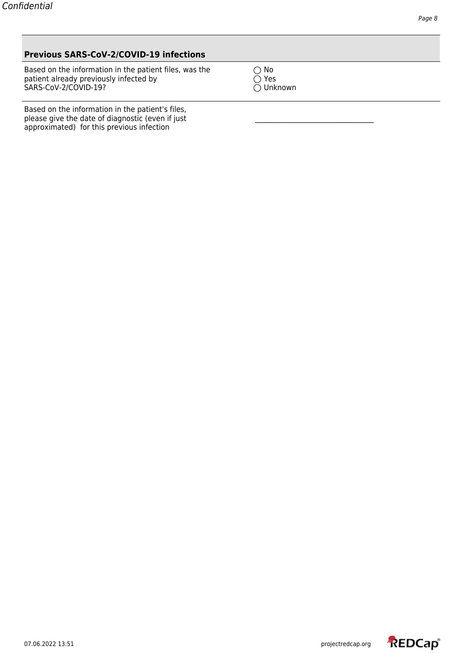### **Previous SARS-CoV-2/COVID-19 infections**

Based on the information in the patient files, was the  $\bigcirc$  No<br>patient already previously infected by  $\bigcirc$  Yes<br>SARS-CoV-2/COVID-19?  $\bigcirc$  Unknown patient already previously infected by  $\hskip10mm \bigcirc$  Yes SARS-CoV-2/COVID-19? Unknown

Based on the information in the patient's files, please give the date of diagnostic (even if just approximated) for this previous infection

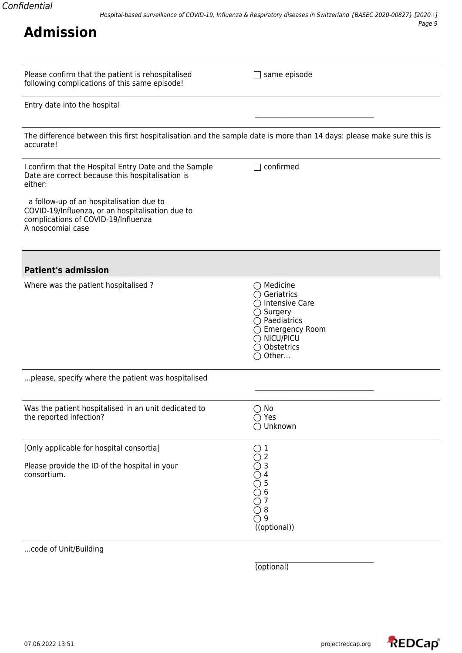| Please confirm that the patient is rehospitalised |  |
|---------------------------------------------------|--|
| following complications of this same episode!     |  |

 $\Box$  same episode

\_\_\_\_\_\_\_\_\_\_\_\_\_\_\_\_\_\_\_\_\_\_\_\_\_\_\_\_\_\_\_\_\_\_

|  |  |  |  | Entry date into the hospital |
|--|--|--|--|------------------------------|
|--|--|--|--|------------------------------|

The difference between this first hospitalisation and the sample date is more than 14 days: please make sure this is accurate!

| I confirm that the Hospital Entry Date and the Sample<br>Date are correct because this hospitalisation is<br>either:<br>a follow-up of an hospitalisation due to<br>COVID-19/Influenza, or an hospitalisation due to<br>complications of COVID-19/Influenza<br>A nosocomial case | confirmed                                                                                                                                                                               |
|----------------------------------------------------------------------------------------------------------------------------------------------------------------------------------------------------------------------------------------------------------------------------------|-----------------------------------------------------------------------------------------------------------------------------------------------------------------------------------------|
| <b>Patient's admission</b>                                                                                                                                                                                                                                                       |                                                                                                                                                                                         |
| Where was the patient hospitalised?                                                                                                                                                                                                                                              | $\bigcirc$ Medicine<br>$\bigcirc$ Geriatrics<br>◯ Intensive Care<br>$\bigcirc$ Surgery<br>$\bigcirc$ Paediatrics<br>◯ Emergency Room<br>$\bigcirc$ NICU/PICU<br>◯ Obstetrics<br>○ Other |
| please, specify where the patient was hospitalised                                                                                                                                                                                                                               |                                                                                                                                                                                         |
| Was the patient hospitalised in an unit dedicated to<br>the reported infection?                                                                                                                                                                                                  | $\bigcirc$ No<br>$\bigcirc$ Yes<br>○ Unknown                                                                                                                                            |
| [Only applicable for hospital consortia]                                                                                                                                                                                                                                         | $\mathbf 1$                                                                                                                                                                             |
| Please provide the ID of the hospital in your<br>consortium.                                                                                                                                                                                                                     | $\overline{2}$<br>$( \ )$<br>3<br>4<br>5<br>6<br>$\bigcirc$ 7<br>$\bigcirc$ 8<br>$\bigcirc$ 9<br>((optional))                                                                           |
| code of Unit/Building                                                                                                                                                                                                                                                            |                                                                                                                                                                                         |

(optional)

\_\_\_\_\_\_\_\_\_\_\_\_\_\_\_\_\_\_\_\_\_\_\_\_\_\_\_\_\_\_\_\_\_\_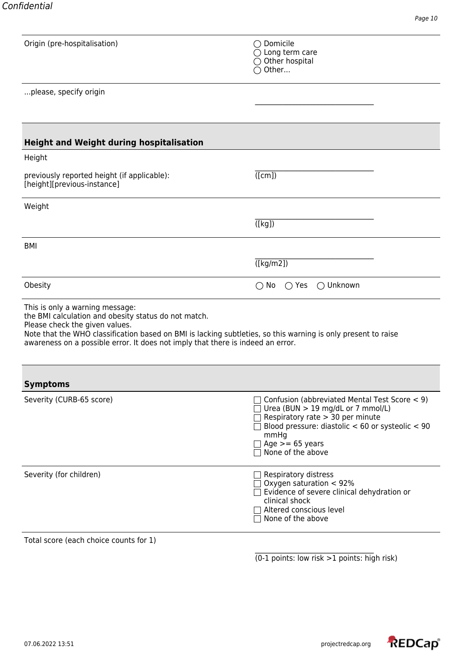| Origin (pre-hospitalisation)                                                                                                                                                                                                                                                                                                  | $\bigcirc$ Domicile                                                                                                                                                                                                                |
|-------------------------------------------------------------------------------------------------------------------------------------------------------------------------------------------------------------------------------------------------------------------------------------------------------------------------------|------------------------------------------------------------------------------------------------------------------------------------------------------------------------------------------------------------------------------------|
|                                                                                                                                                                                                                                                                                                                               | $\bigcirc$ Long term care                                                                                                                                                                                                          |
|                                                                                                                                                                                                                                                                                                                               | $\bigcirc$ Other hospital                                                                                                                                                                                                          |
|                                                                                                                                                                                                                                                                                                                               | $\bigcirc$ Other                                                                                                                                                                                                                   |
| please, specify origin                                                                                                                                                                                                                                                                                                        |                                                                                                                                                                                                                                    |
|                                                                                                                                                                                                                                                                                                                               |                                                                                                                                                                                                                                    |
|                                                                                                                                                                                                                                                                                                                               |                                                                                                                                                                                                                                    |
|                                                                                                                                                                                                                                                                                                                               |                                                                                                                                                                                                                                    |
| <b>Height and Weight during hospitalisation</b>                                                                                                                                                                                                                                                                               |                                                                                                                                                                                                                                    |
| Height                                                                                                                                                                                                                                                                                                                        |                                                                                                                                                                                                                                    |
| previously reported height (if applicable):                                                                                                                                                                                                                                                                                   | ([cm])                                                                                                                                                                                                                             |
| [height][previous-instance]                                                                                                                                                                                                                                                                                                   |                                                                                                                                                                                                                                    |
| Weight                                                                                                                                                                                                                                                                                                                        |                                                                                                                                                                                                                                    |
|                                                                                                                                                                                                                                                                                                                               |                                                                                                                                                                                                                                    |
|                                                                                                                                                                                                                                                                                                                               | $(\overline{[kg]})$                                                                                                                                                                                                                |
| <b>BMI</b>                                                                                                                                                                                                                                                                                                                    |                                                                                                                                                                                                                                    |
|                                                                                                                                                                                                                                                                                                                               |                                                                                                                                                                                                                                    |
|                                                                                                                                                                                                                                                                                                                               | $(\sqrt{[kg/m2]})$                                                                                                                                                                                                                 |
| Obesity                                                                                                                                                                                                                                                                                                                       | $\bigcirc$ Unknown<br>$\bigcirc$ No<br>$\bigcirc$ Yes                                                                                                                                                                              |
| This is only a warning message:<br>the BMI calculation and obesity status do not match.<br>Please check the given values.<br>Note that the WHO classification based on BMI is lacking subtleties, so this warning is only present to raise<br>awareness on a possible error. It does not imply that there is indeed an error. |                                                                                                                                                                                                                                    |
|                                                                                                                                                                                                                                                                                                                               |                                                                                                                                                                                                                                    |
| <b>Symptoms</b>                                                                                                                                                                                                                                                                                                               |                                                                                                                                                                                                                                    |
| Severity (CURB-65 score)                                                                                                                                                                                                                                                                                                      | Confusion (abbreviated Mental Test Score < 9)<br>Urea (BUN $> 19$ mg/dL or 7 mmol/L)<br>Respiratory rate > 30 per minute<br>Blood pressure: diastolic $<$ 60 or systeolic $<$ 90<br>mmHg<br>Age $>= 65$ years<br>None of the above |
| Severity (for children)                                                                                                                                                                                                                                                                                                       | Respiratory distress<br>$\Box$ Oxygen saturation $< 92\%$<br>$\Box$ Evidence of severe clinical dehydration or<br>clinical shock<br>Altered conscious level<br>None of the above                                                   |
| Total score (each choice counts for 1)                                                                                                                                                                                                                                                                                        |                                                                                                                                                                                                                                    |
|                                                                                                                                                                                                                                                                                                                               |                                                                                                                                                                                                                                    |

(0-1 points: low risk >1 points: high risk)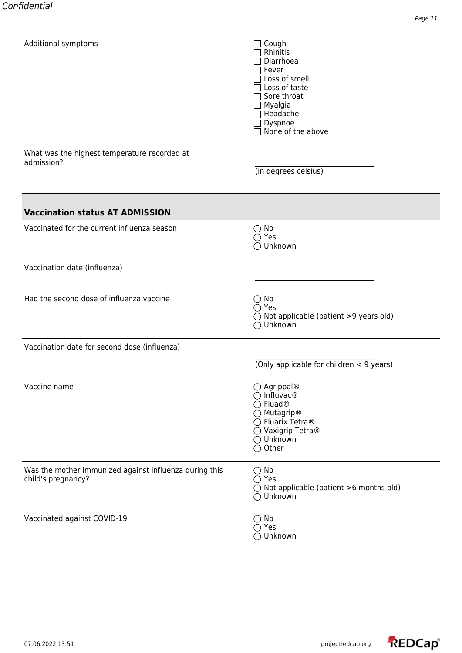| Additional symptoms                                                          | Cough<br>Rhinitis<br>Diarrhoea<br>Fever<br>Loss of smell<br>Loss of taste<br>Sore throat<br>Myalgia<br>Headache<br>Dyspnoe<br>None of the above                            |
|------------------------------------------------------------------------------|----------------------------------------------------------------------------------------------------------------------------------------------------------------------------|
| What was the highest temperature recorded at<br>admission?                   | (in degrees celsius)                                                                                                                                                       |
| <b>Vaccination status AT ADMISSION</b>                                       |                                                                                                                                                                            |
| Vaccinated for the current influenza season                                  | $\bigcirc$ No<br>$\bigcirc$ Yes<br>$\bigcirc$ Unknown                                                                                                                      |
| Vaccination date (influenza)                                                 |                                                                                                                                                                            |
| Had the second dose of influenza vaccine                                     | $\bigcirc$ No<br>$\bigcirc$ Yes<br>$\bigcirc$ Not applicable (patient >9 years old)<br>◯ Unknown                                                                           |
| Vaccination date for second dose (influenza)                                 |                                                                                                                                                                            |
|                                                                              | (Only applicable for children $\lt$ 9 years)                                                                                                                               |
| Vaccine name                                                                 | $\bigcirc$ Agrippal®<br>$\bigcirc$ Influvac $\mathcal{R}$<br>○ Fluad <sup>®</sup><br>◯ Mutagrip®<br>◯ Fluarix Tetra®<br>◯ Vaxigrip Tetra®<br>◯ Unknown<br>$\bigcirc$ Other |
| Was the mother immunized against influenza during this<br>child's pregnancy? | $\bigcirc$ No<br>$\bigcirc$ Yes<br>$\bigcirc$ Not applicable (patient >6 months old)<br>◯ Unknown                                                                          |
| Vaccinated against COVID-19                                                  | $\bigcirc$ No<br>$\bigcirc$ Yes<br>◯ Unknown                                                                                                                               |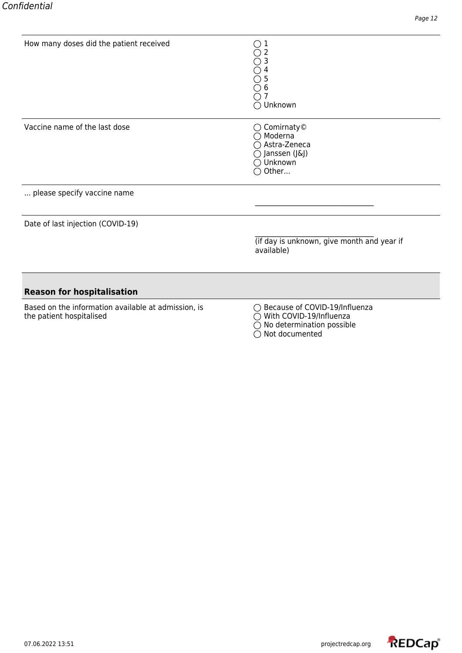| How many doses did the patient received                                         | ○<br>1<br>3<br>6<br>Unknown                                                                             |
|---------------------------------------------------------------------------------|---------------------------------------------------------------------------------------------------------|
| Vaccine name of the last dose                                                   | $\bigcirc$ Comirnaty©<br>$\bigcirc$ Moderna<br>Astra-Zeneca<br>Janssen (J&J)<br>Unknown<br>Other        |
| please specify vaccine name                                                     |                                                                                                         |
| Date of last injection (COVID-19)                                               |                                                                                                         |
|                                                                                 | (if day is unknown, give month and year if<br>available)                                                |
| <b>Reason for hospitalisation</b>                                               |                                                                                                         |
| Based on the information available at admission, is<br>the patient hospitalised | Because of COVID-19/Influenza<br>With COVID-19/Influenza<br>No determination possible<br>Not documented |

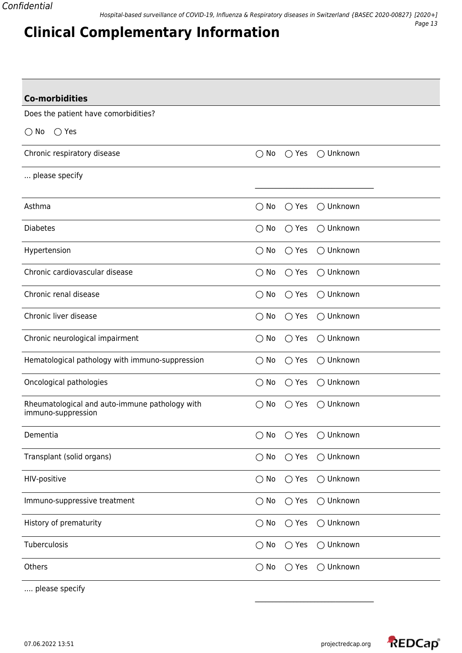Does the patient have comorbidities?

**Clinical Complementary Information**

 $\bigcirc$  No  $\bigcirc$  Yes

| $\bigcirc$ No | $\bigcirc$ Yes | $\bigcirc$ Unknown |
|---------------|----------------|--------------------|
|               |                |                    |
| $\bigcirc$ No | $\bigcirc$ Yes | $\bigcirc$ Unknown |
| $\bigcirc$ No | $\bigcirc$ Yes | ◯ Unknown          |
| $\bigcirc$ No | $\bigcirc$ Yes | $\bigcirc$ Unknown |
| $\bigcirc$ No | $\bigcirc$ Yes | ◯ Unknown          |
| $\bigcirc$ No | $\bigcirc$ Yes | ◯ Unknown          |
| $\bigcirc$ No | $\bigcirc$ Yes | $\bigcirc$ Unknown |
| $\bigcirc$ No | $\bigcirc$ Yes | $\bigcirc$ Unknown |
| $\bigcirc$ No | $\bigcirc$ Yes | ◯ Unknown          |
| $\bigcirc$ No | $\bigcirc$ Yes | ◯ Unknown          |
| $\bigcirc$ No | $\bigcirc$ Yes | $\bigcirc$ Unknown |
| $\bigcirc$ No | $\bigcirc$ Yes | ◯ Unknown          |
| $\bigcirc$ No | $\bigcirc$ Yes | $\bigcirc$ Unknown |
| $\bigcirc$ No | $\bigcirc$ Yes | $\bigcirc$ Unknown |
| $\bigcirc$ No | $\bigcirc$ Yes | ○ Unknown          |
| $\bigcirc$ No | $\bigcirc$ Yes | ◯ Unknown          |
| $\bigcirc$ No | $\bigcirc$ Yes | ○ Unknown          |
| $\bigcirc$ No | $\bigcirc$ Yes | ◯ Unknown          |
|               |                |                    |

.... please specify

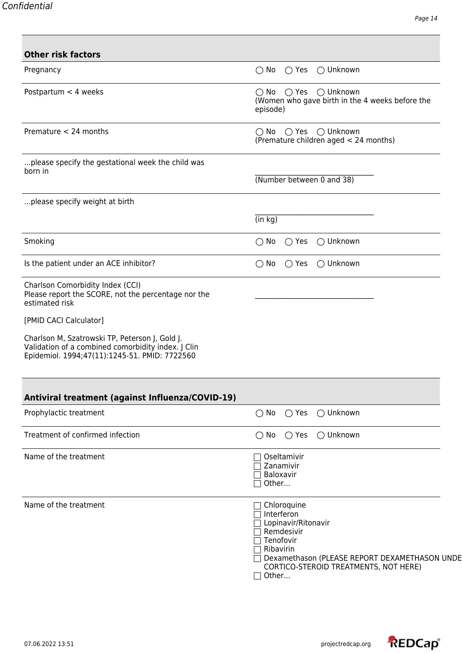| <b>Other risk factors</b>                                                                                                                             |                                                                                                                                                                                                                                                     |
|-------------------------------------------------------------------------------------------------------------------------------------------------------|-----------------------------------------------------------------------------------------------------------------------------------------------------------------------------------------------------------------------------------------------------|
| Pregnancy                                                                                                                                             | $\bigcirc$ No<br>$\bigcirc$ Yes<br>$\bigcirc$ Unknown                                                                                                                                                                                               |
| Postpartum $<$ 4 weeks                                                                                                                                | $\bigcirc$ Yes $\bigcirc$ Unknown<br>$\bigcirc$ No<br>(Women who gave birth in the 4 weeks before the<br>episode)                                                                                                                                   |
| Premature < 24 months                                                                                                                                 | $\bigcirc$ No $\bigcirc$ Yes $\bigcirc$ Unknown<br>(Premature children aged < 24 months)                                                                                                                                                            |
| please specify the gestational week the child was<br>born in                                                                                          | (Number between 0 and 38)                                                                                                                                                                                                                           |
| please specify weight at birth                                                                                                                        |                                                                                                                                                                                                                                                     |
|                                                                                                                                                       | (in kg)                                                                                                                                                                                                                                             |
| Smoking                                                                                                                                               | $\bigcirc$ Unknown<br>$\bigcirc$ No<br>$\bigcirc$ Yes                                                                                                                                                                                               |
| Is the patient under an ACE inhibitor?                                                                                                                | $\bigcirc$ Yes<br>$\bigcirc$ Unknown<br>$\bigcirc$ No                                                                                                                                                                                               |
| Charlson Comorbidity Index (CCI)<br>Please report the SCORE, not the percentage nor the<br>estimated risk                                             |                                                                                                                                                                                                                                                     |
| [PMID CACI Calculator]                                                                                                                                |                                                                                                                                                                                                                                                     |
| Charlson M, Szatrowski TP, Peterson J, Gold J.<br>Validation of a combined comorbidity index. J Clin<br>Epidemiol. 1994;47(11):1245-51. PMID: 7722560 |                                                                                                                                                                                                                                                     |
| Antiviral treatment (against Influenza/COVID-19)                                                                                                      |                                                                                                                                                                                                                                                     |
| Prophylactic treatment                                                                                                                                | ◯ Unknown<br>$\bigcirc$ Yes<br>$\bigcirc$ No                                                                                                                                                                                                        |
| Treatment of confirmed infection                                                                                                                      | ◯ Unknown<br>$\bigcirc$ No<br>$\bigcirc$ Yes                                                                                                                                                                                                        |
| Name of the treatment                                                                                                                                 | Oseltamivir<br>Zanamivir<br>Baloxavir<br>Other                                                                                                                                                                                                      |
| Name of the treatment                                                                                                                                 | Chloroquine<br>$\mathsf{L}$<br>Interferon<br>Lopinavir/Ritonavir<br>$\Box$ Remdesivir<br>$\Box$ Tenofovir<br>$\Box$ Ribavirin<br>□ Dexamethason (PLEASE REPORT DEXAMETHASON UNDER<br>CORTICO-STEROID TREATMENTS, NOT HERE)<br>Other<br>$\mathsf{L}$ |

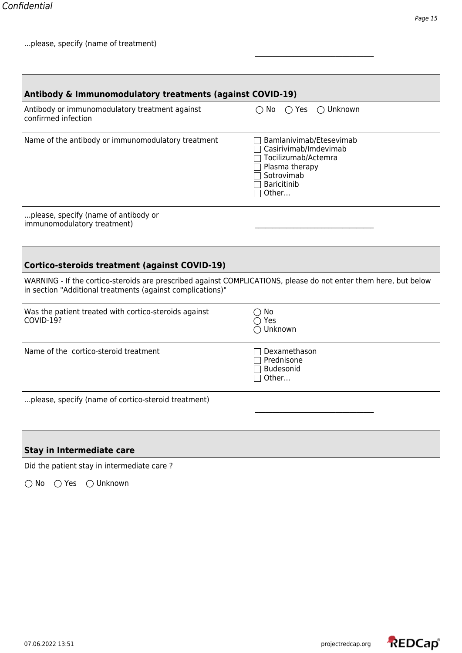| Antibody & Immunomodulatory treatments (against COVID-19)                                                                                                                      |                                                                                                                                 |
|--------------------------------------------------------------------------------------------------------------------------------------------------------------------------------|---------------------------------------------------------------------------------------------------------------------------------|
| Antibody or immunomodulatory treatment against<br>confirmed infection                                                                                                          | ◯ Unknown<br>$\bigcap$ No $\bigcap$ Yes                                                                                         |
| Name of the antibody or immunomodulatory treatment                                                                                                                             | Bamlanivimab/Etesevimab<br>Casirivimab/Imdevimab<br>Tocilizumab/Actemra<br>Plasma therapy<br>Sotrovimab<br>Baricitinib<br>Other |
| please, specify (name of antibody or<br>immunomodulatory treatment)                                                                                                            |                                                                                                                                 |
| <b>Cortico-steroids treatment (against COVID-19)</b>                                                                                                                           |                                                                                                                                 |
| WARNING - If the cortico-steroids are prescribed against COMPLICATIONS, please do not enter them here, but below<br>in section "Additional treatments (against complications)" |                                                                                                                                 |
| Was the patient treated with cortico-steroids against<br>COVID-19?                                                                                                             | $\bigcirc$ No<br>$\bigcirc$ Yes<br>◯ Unknown                                                                                    |
| Name of the cortico-steroid treatment                                                                                                                                          | Dexamethason<br>Prednisone<br>Budesonid<br>Other                                                                                |
| please, specify (name of cortico-steroid treatment)                                                                                                                            |                                                                                                                                 |
| <b>Stay in Intermediate care</b>                                                                                                                                               |                                                                                                                                 |
| Did the patient stay in intermediate care?                                                                                                                                     |                                                                                                                                 |

\_\_\_\_\_\_\_\_\_\_\_\_\_\_\_\_\_\_\_\_\_\_\_\_\_\_\_\_\_\_\_\_\_\_

No Yes Unknown

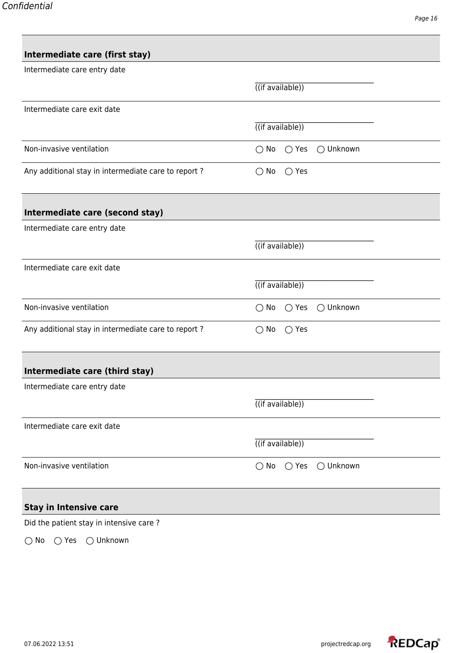| Intermediate care (first stay)                      |                                                       |
|-----------------------------------------------------|-------------------------------------------------------|
| Intermediate care entry date                        |                                                       |
|                                                     | $\overline{((if available))}$                         |
| Intermediate care exit date                         |                                                       |
|                                                     | $($ (if available))                                   |
| Non-invasive ventilation                            | $\bigcirc$ No<br>$\bigcirc$ Yes<br>$\bigcirc$ Unknown |
| Any additional stay in intermediate care to report? | $\bigcirc$ Yes<br>$\bigcirc$ No                       |
| Intermediate care (second stay)                     |                                                       |
| Intermediate care entry date                        |                                                       |
|                                                     | $\overline{((if available))}$                         |
| Intermediate care exit date                         |                                                       |
|                                                     | $\overline{((if available))}$                         |
| Non-invasive ventilation                            | ◯ Unknown<br>$\bigcirc$ No<br>$\bigcirc$ Yes          |
| Any additional stay in intermediate care to report? | $\bigcirc$ Yes<br>$\bigcirc$ No                       |
| Intermediate care (third stay)                      |                                                       |
| Intermediate care entry date                        |                                                       |
|                                                     | $($ (if available))                                   |
| Intermediate care exit date                         |                                                       |
|                                                     | $($ (if available))                                   |
| Non-invasive ventilation                            | $\bigcirc$ Unknown<br>$\bigcirc$ No<br>$\bigcirc$ Yes |
| <b>Stay in Intensive care</b>                       |                                                       |
| Did the patient stay in intensive care?             |                                                       |

No Yes Unknown

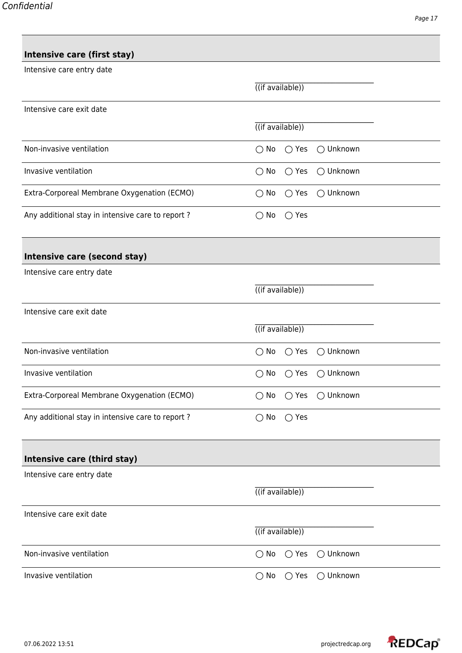## **Intensive care (first stay)**

| Intensive care entry date                        |                                                       |
|--------------------------------------------------|-------------------------------------------------------|
|                                                  | $\overline{((if available))}$                         |
| Intensive care exit date                         |                                                       |
|                                                  | $\overline{((if available))}$                         |
| Non-invasive ventilation                         | ◯ Unknown<br>$\bigcirc$ No<br>$\bigcirc$ Yes          |
| Invasive ventilation                             | $\bigcirc$ Unknown<br>$\bigcirc$ No<br>$\bigcirc$ Yes |
| Extra-Corporeal Membrane Oxygenation (ECMO)      | $\bigcirc$ Unknown<br>$\bigcirc$ No<br>$\bigcirc$ Yes |
| Any additional stay in intensive care to report? | $\bigcirc$ No<br>$\bigcirc$ Yes                       |
| Intensive care (second stay)                     |                                                       |
| Intensive care entry date                        |                                                       |
|                                                  | $($ (if available))                                   |
| Intensive care exit date                         |                                                       |
|                                                  | $\overline{((if available))}$                         |
| Non-invasive ventilation                         | $\bigcirc$ Yes<br>$\bigcirc$ Unknown<br>$\bigcirc$ No |
| Invasive ventilation                             | ○ Unknown<br>$\bigcirc$ No<br>$\bigcirc$ Yes          |
| Extra-Corporeal Membrane Oxygenation (ECMO)      | $\bigcirc$ No<br>$\bigcirc$ Yes<br>$\bigcirc$ Unknown |
| Any additional stay in intensive care to report? | No<br>$\bigcirc$ Yes<br>( )                           |
| Intensive care (third stay)                      |                                                       |
| Intensive care entry date                        |                                                       |
|                                                  | $\overline{((if available))}$                         |
| Intensive care exit date                         |                                                       |
|                                                  | $\overline{((if available))}$                         |
| Non-invasive ventilation                         | $\bigcirc$ Unknown<br>$\bigcirc$ No<br>$\bigcirc$ Yes |
| Invasive ventilation                             | $\bigcirc$ Unknown<br>$\bigcirc$ No<br>$\bigcirc$ Yes |

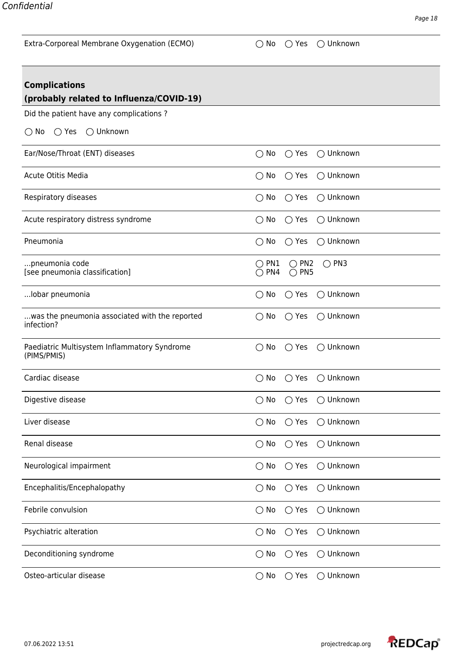| Extra-Corporeal Membrane Oxygenation (ECMO) |  |  |  |
|---------------------------------------------|--|--|--|
|---------------------------------------------|--|--|--|

 $\bigcirc$  No  $\bigcirc$  Yes  $\bigcirc$  Unknown

| <b>Complications</b>                                         |                                                                                        |
|--------------------------------------------------------------|----------------------------------------------------------------------------------------|
| (probably related to Influenza/COVID-19)                     |                                                                                        |
| Did the patient have any complications?                      |                                                                                        |
| $\bigcirc$ Unknown<br>$\bigcirc$ Yes<br>$\bigcirc$ No        |                                                                                        |
| Ear/Nose/Throat (ENT) diseases                               | ◯ Unknown<br>$\bigcirc$ No<br>$\bigcirc$ Yes                                           |
| <b>Acute Otitis Media</b>                                    | ○ Unknown<br>$\bigcirc$ No<br>$\bigcirc$ Yes                                           |
| Respiratory diseases                                         | $\bigcirc$ Unknown<br>$\bigcirc$ No<br>$\bigcirc$ Yes                                  |
| Acute respiratory distress syndrome                          | $\bigcirc$ No<br>$\bigcirc$ Yes<br>$\bigcirc$ Unknown                                  |
| Pneumonia                                                    | ◯ Unknown<br>$\bigcirc$ Yes<br>$\bigcirc$ No                                           |
| pneumonia code<br>[see pneumonia classification]             | $\bigcirc$ PN1<br>$\bigcirc$ PN2<br>$\bigcirc$ PN3<br>$\bigcirc$ PN4<br>$\bigcirc$ PN5 |
| lobar pneumonia                                              | $\bigcirc$ No<br>$\bigcirc$ Unknown<br>$\bigcirc$ Yes                                  |
| was the pneumonia associated with the reported<br>infection? | ○ Unknown<br>$\bigcirc$ No<br>$\bigcirc$ Yes                                           |
| Paediatric Multisystem Inflammatory Syndrome<br>(PIMS/PMIS)  | ○ Unknown<br>$\bigcirc$ Yes<br>$\bigcirc$ No                                           |
| Cardiac disease                                              | $\bigcirc$ No<br>$\bigcirc$ Yes<br>$\bigcirc$ Unknown                                  |
| Digestive disease                                            | $\bigcirc$ Unknown<br>$\bigcirc$ Yes<br>$\bigcirc$ No                                  |
| Liver disease                                                | $\bigcirc$ No<br>$\bigcirc$ Yes<br>◯ Unknown                                           |
| Renal disease                                                | ◯ Unknown<br>$\bigcirc$ No<br>$\bigcirc$ Yes                                           |
| Neurological impairment                                      | ○ Unknown<br>$\bigcirc$ No<br>$\bigcirc$ Yes                                           |
| Encephalitis/Encephalopathy                                  | ◯ Unknown<br>$\bigcirc$ No<br>$\bigcirc$ Yes                                           |
| Febrile convulsion                                           | ◯ Unknown<br>$\bigcirc$ No<br>$\bigcirc$ Yes                                           |
| Psychiatric alteration                                       | $\bigcirc$ No<br>◯ Unknown<br>$\bigcirc$ Yes                                           |
| Deconditioning syndrome                                      | Unknown<br>$\bigcirc$<br>No<br>$\bigcirc$ Yes<br>$\bigcirc$                            |
| Osteo-articular disease                                      | $\bigcirc$ No<br>◯ Unknown<br>$\bigcirc$ Yes                                           |

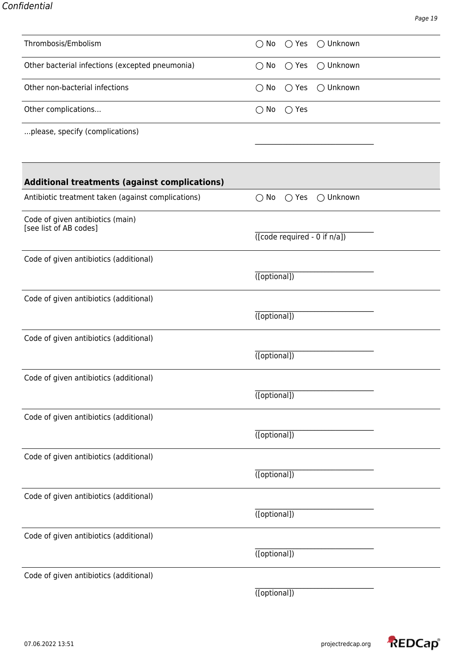| Thrombosis/Embolism                                        | $\bigcirc$ No<br>$\bigcirc$ Yes<br>◯ Unknown          |
|------------------------------------------------------------|-------------------------------------------------------|
| Other bacterial infections (excepted pneumonia)            | ◯ Unknown<br>$\bigcirc$ No<br>$\bigcirc$ Yes          |
| Other non-bacterial infections                             | ◯ Unknown<br>$\bigcirc$ No<br>$\bigcirc$ Yes          |
| Other complications                                        | $\bigcirc$ No<br>$\bigcirc$ Yes                       |
| please, specify (complications)                            |                                                       |
|                                                            |                                                       |
| Additional treatments (against complications)              |                                                       |
| Antibiotic treatment taken (against complications)         | $\bigcirc$ No<br>$\bigcirc$ Yes<br>$\bigcirc$ Unknown |
| Code of given antibiotics (main)<br>[see list of AB codes] |                                                       |
|                                                            | $($ [code required - 0 if $n/a$ ])                    |
| Code of given antibiotics (additional)                     |                                                       |
|                                                            | $\overline{(\text{[optional]})}$                      |
| Code of given antibiotics (additional)                     |                                                       |
|                                                            | $($ [optional])                                       |
| Code of given antibiotics (additional)                     |                                                       |
|                                                            | ([optional])                                          |
| Code of given antibiotics (additional)                     |                                                       |
|                                                            | $\overline{(\text{[optional]})}$                      |
| Code of given antibiotics (additional)                     |                                                       |
|                                                            | $\overline{(\text{[optional]})}$                      |
| Code of given antibiotics (additional)                     |                                                       |
|                                                            | $\overline{(\text{[optional]})}$                      |
| Code of given antibiotics (additional)                     |                                                       |
|                                                            | $($ [optional])                                       |
| Code of given antibiotics (additional)                     |                                                       |
|                                                            | $($ [optional])                                       |
| Code of given antibiotics (additional)                     |                                                       |
|                                                            | ([optional])                                          |

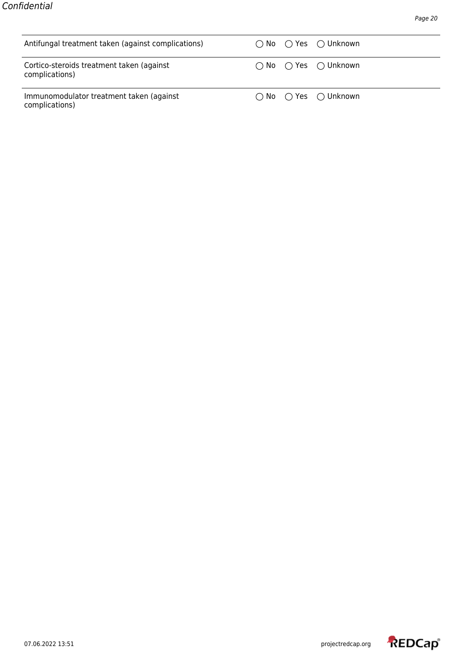| Antifungal treatment taken (against complications)          |  | $\bigcap$ No $\bigcap$ Yes $\bigcap$ Unknown |
|-------------------------------------------------------------|--|----------------------------------------------|
| Cortico-steroids treatment taken (against<br>complications) |  | $\bigcap$ No $\bigcap$ Yes $\bigcap$ Unknown |
| Immunomodulator treatment taken (against<br>complications)  |  | $\bigcap$ No $\bigcap$ Yes $\bigcap$ Unknown |

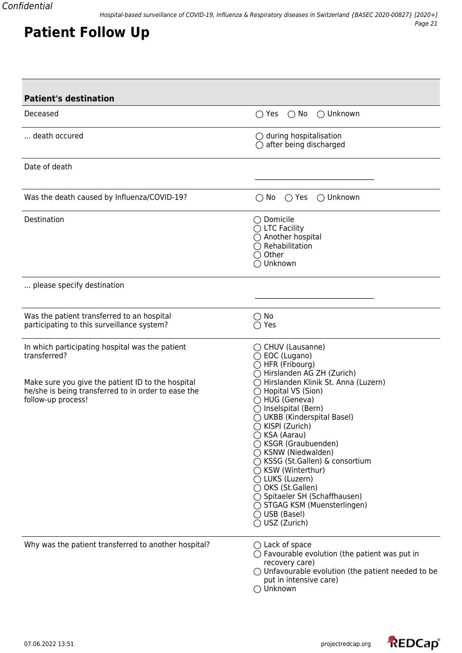| <b>Patient's destination</b>                                                                                                                                                                      |                                                                                                                                                                                                                                                                                                                                                                                                                                                                                                                                                                                         |
|---------------------------------------------------------------------------------------------------------------------------------------------------------------------------------------------------|-----------------------------------------------------------------------------------------------------------------------------------------------------------------------------------------------------------------------------------------------------------------------------------------------------------------------------------------------------------------------------------------------------------------------------------------------------------------------------------------------------------------------------------------------------------------------------------------|
| Deceased                                                                                                                                                                                          | $\bigcirc$ No<br>$\bigcirc$ Unknown<br>$\bigcirc$ Yes                                                                                                                                                                                                                                                                                                                                                                                                                                                                                                                                   |
| death occured                                                                                                                                                                                     | $\bigcirc$ during hospitalisation<br>$\bigcirc$ after being discharged                                                                                                                                                                                                                                                                                                                                                                                                                                                                                                                  |
| Date of death                                                                                                                                                                                     |                                                                                                                                                                                                                                                                                                                                                                                                                                                                                                                                                                                         |
| Was the death caused by Influenza/COVID-19?                                                                                                                                                       | $\bigcirc$ Unknown<br>$\bigcirc$ No<br>$\bigcirc$ Yes                                                                                                                                                                                                                                                                                                                                                                                                                                                                                                                                   |
| Destination                                                                                                                                                                                       | $\bigcirc$ Domicile<br>$\bigcirc$ LTC Facility<br>◯ Another hospital<br>$\bigcirc$ Rehabilitation<br>$\bigcirc$ Other<br>◯ Unknown                                                                                                                                                                                                                                                                                                                                                                                                                                                      |
| please specify destination                                                                                                                                                                        |                                                                                                                                                                                                                                                                                                                                                                                                                                                                                                                                                                                         |
| Was the patient transferred to an hospital<br>participating to this surveillance system?                                                                                                          | $\bigcirc$ No<br>Yes                                                                                                                                                                                                                                                                                                                                                                                                                                                                                                                                                                    |
| In which participating hospital was the patient<br>transferred?<br>Make sure you give the patient ID to the hospital<br>he/she is being transferred to in order to ease the<br>follow-up process! | $\bigcirc$ CHUV (Lausanne)<br>◯ EOC (Lugano)<br>$\bigcirc$ HFR (Fribourg)<br>◯ Hirslanden AG ZH (Zurich)<br>◯ Hirslanden Klinik St. Anna (Luzern)<br>$\bigcirc$ Hopital VS (Sion)<br>◯ HUG (Geneva)<br>$\bigcirc$ Inselspital (Bern)<br>◯ UKBB (Kinderspital Basel)<br>◯ KISPI (Zurich)<br>◯ KSA (Aarau)<br>◯ KSGR (Graubuenden)<br>$\bigcirc$ KSNW (Niedwalden)<br>◯ KSSG (St.Gallen) & consortium<br>$\bigcirc$ KSW (Winterthur)<br>◯ LUKS (Luzern)<br>◯ OKS (St.Gallen)<br>◯ Spitaeler SH (Schaffhausen)<br>◯ STGAG KSM (Muensterlingen)<br>$\bigcirc$ USB (Basel)<br>◯ USZ (Zurich) |
| Why was the patient transferred to another hospital?                                                                                                                                              | $\bigcirc$ Lack of space<br>$\bigcirc$ Favourable evolution (the patient was put in<br>recovery care)<br>$\bigcirc$ Unfavourable evolution (the patient needed to be<br>put in intensive care)<br>◯ Unknown                                                                                                                                                                                                                                                                                                                                                                             |



**Patient Follow Up**